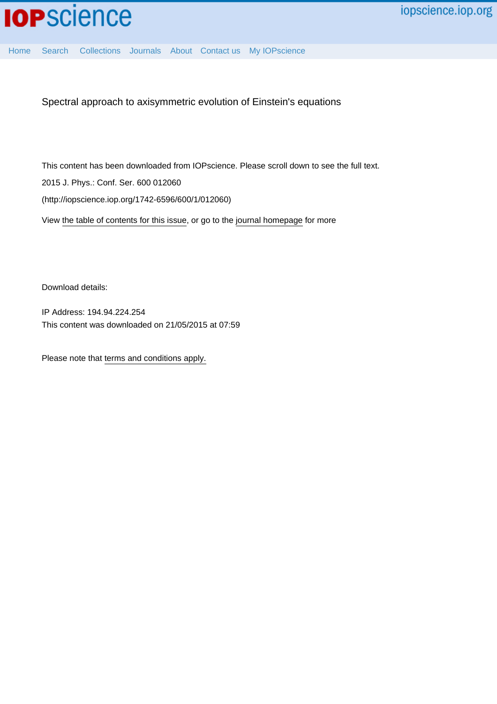

[Home](http://iopscience.iop.org/) [Search](http://iopscience.iop.org/search) [Collections](http://iopscience.iop.org/collections) [Journals](http://iopscience.iop.org/journals) [About](http://iopscience.iop.org/page/aboutioppublishing) [Contact us](http://iopscience.iop.org/contact) [My IOPscience](http://iopscience.iop.org/myiopscience)

Spectral approach to axisymmetric evolution of Einstein's equations

This content has been downloaded from IOPscience. Please scroll down to see the full text. View [the table of contents for this issue](http://iopscience.iop.org/1742-6596/600/1), or go to the [journal homepage](http://iopscience.iop.org/1742-6596) for more 2015 J. Phys.: Conf. Ser. 600 012060 (http://iopscience.iop.org/1742-6596/600/1/012060)

Download details:

IP Address: 194.94.224.254 This content was downloaded on 21/05/2015 at 07:59

Please note that [terms and conditions apply.](iopscience.iop.org/page/terms)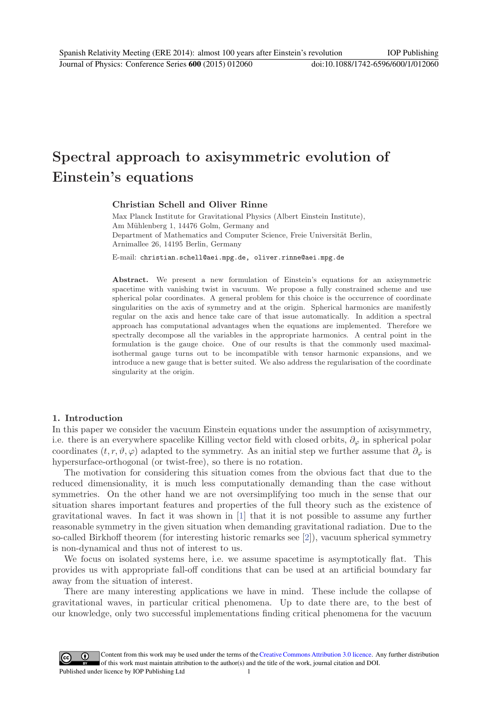# **Spectral approach to axisymmetric evolution of Einstein's equations**

# **Christian Schell and Oliver Rinne**

Max Planck Institute for Gravitational Physics (Albert Einstein Institute), Am Mühlenberg 1, 14476 Golm, Germany and Department of Mathematics and Computer Science, Freie Universität Berlin, Arnimallee 26, 14195 Berlin, Germany

E-mail: christian.schell@aei.mpg.de, oliver.rinne@aei.mpg.de

**Abstract.** We present a new formulation of Einstein's equations for an axisymmetric spacetime with vanishing twist in vacuum. We propose a fully constrained scheme and use spherical polar coordinates. A general problem for this choice is the occurrence of coordinate singularities on the axis of symmetry and at the origin. Spherical harmonics are manifestly regular on the axis and hence take care of that issue automatically. In addition a spectral approach has computational advantages when the equations are implemented. Therefore we spectrally decompose all the variables in the appropriate harmonics. A central point in the formulation is the gauge choice. One of our results is that the commonly used maximalisothermal gauge turns out to be incompatible with tensor harmonic expansions, and we introduce a new gauge that is better suited. We also address the regularisation of the coordinate singularity at the origin.

### **1. Introduction**

In this paper we consider the vacuum Einstein equations under the assumption of axisymmetry, i.e. there is an everywhere spacelike Killing vector field with closed orbits,  $\partial_{\varphi}$  in spherical polar coordinates  $(t, r, \vartheta, \varphi)$  adapted to the symmetry. As an initial step we further assume that  $\partial_{\varphi}$  is hypersurface-orthogonal (or twist-free), so there is no rotation.

The motivation for considering this situation comes from the obvious fact that due to the reduced dimensionality, it is much less computationally demanding than the case without symmetries. On the other hand we are not oversimplifying too much in the sense that our situation shares important features and properties of the full theory such as the existence of gravitational waves. In fact it was shown in [1] that it is not possible to assume any further reasonable symmetry in the given situation when demanding gravitational radiation. Due to the so-called Birkhoff theorem (for interesting historic remarks see [2]), vacuum spherical symmetry is non-dynamical and thus not of interest to us.

We focus on isolated systems here, i.e. we assume spacetime is asymptotically flat. This provides us with appropriate fall-off conditions that can be used at an artificial boundary far away from the situation of interest.

There are many interesting applications we have in mind. These include the collapse of gravitational waves, in particular critical phenomena. Up to date there are, to the best of our knowledge, only two successful implementations finding critical phenomena for the vacuum

Content from this work may be used under the terms of theCreative Commons Attribution 3.0 licence. Any further distribution  $(cc)$ of this work must maintain attribution to the author(s) and the title of the work, journal citation and DOI. Published under licence by IOP Publishing Ltd 1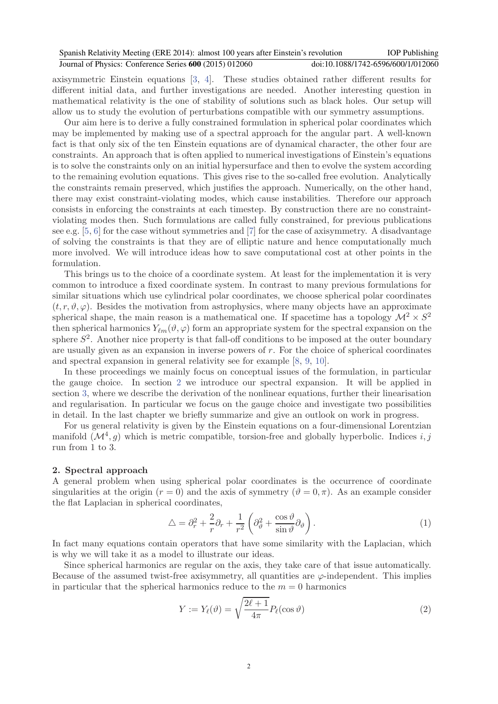| Spanish Relativity Meeting (ERE 2014): almost 100 years after Einstein's revolution | <b>IOP</b> Publishing              |
|-------------------------------------------------------------------------------------|------------------------------------|
| Journal of Physics: Conference Series 600 (2015) 012060                             | doi:10.1088/1742-6596/600/1/012060 |

axisymmetric Einstein equations [3, 4]. These studies obtained rather different results for different initial data, and further investigations are needed. Another interesting question in mathematical relativity is the one of stability of solutions such as black holes. Our setup will allow us to study the evolution of perturbations compatible with our symmetry assumptions.

Our aim here is to derive a fully constrained formulation in spherical polar coordinates which may be implemented by making use of a spectral approach for the angular part. A well-known fact is that only six of the ten Einstein equations are of dynamical character, the other four are constraints. An approach that is often applied to numerical investigations of Einstein's equations is to solve the constraints only on an initial hypersurface and then to evolve the system according to the remaining evolution equations. This gives rise to the so-called free evolution. Analytically the constraints remain preserved, which justifies the approach. Numerically, on the other hand, there may exist constraint-violating modes, which cause instabilities. Therefore our approach consists in enforcing the constraints at each timestep. By construction there are no constraintviolating modes then. Such formulations are called fully constrained, for previous publications see e.g. [5, 6] for the case without symmetries and [7] for the case of axisymmetry. A disadvantage of solving the constraints is that they are of elliptic nature and hence computationally much more involved. We will introduce ideas how to save computational cost at other points in the formulation.

This brings us to the choice of a coordinate system. At least for the implementation it is very common to introduce a fixed coordinate system. In contrast to many previous formulations for similar situations which use cylindrical polar coordinates, we choose spherical polar coordinates  $(t, r, \vartheta, \varphi)$ . Besides the motivation from astrophysics, where many objects have an approximate spherical shape, the main reason is a mathematical one. If spacetime has a topology  $\mathcal{M}^2 \times S^2$ then spherical harmonics  $Y_{\ell m}(\vartheta, \varphi)$  form an appropriate system for the spectral expansion on the sphere  $S<sup>2</sup>$ . Another nice property is that fall-off conditions to be imposed at the outer boundary are usually given as an expansion in inverse powers of  $r$ . For the choice of spherical coordinates and spectral expansion in general relativity see for example [8, 9, 10].

In these proceedings we mainly focus on conceptual issues of the formulation, in particular the gauge choice. In section 2 we introduce our spectral expansion. It will be applied in section 3, where we describe the derivation of the nonlinear equations, further their linearisation and regularisation. In particular we focus on the gauge choice and investigate two possibilities in detail. In the last chapter we briefly summarize and give an outlook on work in progress.

For us general relativity is given by the Einstein equations on a four-dimensional Lorentzian manifold  $(\mathcal{M}^4, q)$  which is metric compatible, torsion-free and globally hyperbolic. Indices i, j run from 1 to 3.

# **2. Spectral approach**

A general problem when using spherical polar coordinates is the occurrence of coordinate singularities at the origin  $(r = 0)$  and the axis of symmetry  $(\vartheta = 0, \pi)$ . As an example consider the flat Laplacian in spherical coordinates,

$$
\Delta = \partial_r^2 + \frac{2}{r}\partial_r + \frac{1}{r^2} \left(\partial_\vartheta^2 + \frac{\cos\vartheta}{\sin\vartheta}\partial_\vartheta\right).
$$
\n(1)

In fact many equations contain operators that have some similarity with the Laplacian, which is why we will take it as a model to illustrate our ideas.

Since spherical harmonics are regular on the axis, they take care of that issue automatically. Because of the assumed twist-free axisymmetry, all quantities are  $\varphi$ -independent. This implies in particular that the spherical harmonics reduce to the  $m = 0$  harmonics

$$
Y := Y_{\ell}(\vartheta) = \sqrt{\frac{2\ell+1}{4\pi}} P_{\ell}(\cos \vartheta)
$$
\n(2)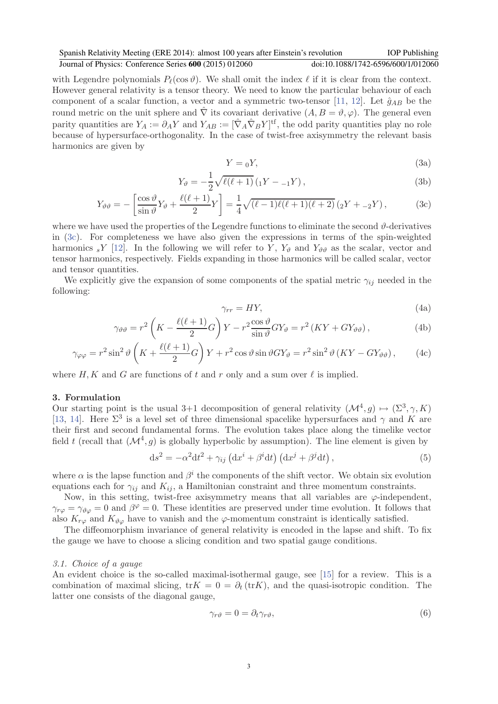# Spanish Relativity Meeting (ERE 2014): almost 100 years after Einstein's revolution IOP Publishing Journal of Physics: Conference Series **600** (2015) 012060 doi:10.1088/1742-6596/600/1/012060

with Legendre polynomials  $P_{\ell}(\cos \vartheta)$ . We shall omit the index  $\ell$  if it is clear from the context. However general relativity is a tensor theory. We need to know the particular behaviour of each component of a scalar function, a vector and a symmetric two-tensor [11, 12]. Let  $\hat{g}_{AB}$  be the round metric on the unit sphere and  $\nabla$  its covariant derivative  $(A, B = \vartheta, \varphi)$ . The general even parity quantities are  $Y_A := \partial_A Y$  and  $Y_{AB} := [\hat{\nabla}_A \hat{\nabla}_B Y]^{\text{tf}}$ , the odd parity quantities play no role<br>because of hypersurface-orthogonality. In the case of twist-free axisymmetry the relevant basis because of hypersurface-orthogonality. In the case of twist-free axisymmetry the relevant basis harmonics are given by

$$
Y = {}_0Y,
$$
\n(3a)

$$
Y_{\vartheta} = -\frac{1}{2} \sqrt{\ell(\ell+1)} \left( {}_{1}Y - {}_{-1}Y \right), \tag{3b}
$$

$$
Y_{\vartheta\vartheta} = -\left[\frac{\cos\vartheta}{\sin\vartheta}Y_{\vartheta} + \frac{\ell(\ell+1)}{2}Y\right] = \frac{1}{4}\sqrt{(\ell-1)\ell(\ell+1)(\ell+2)}\left({}_2Y + {}_{-2}Y\right),\tag{3c}
$$

where we have used the properties of the Legendre functions to eliminate the second  $\vartheta$ -derivatives in (3c). For completeness we have also given the expressions in terms of the spin-weighted harmonics <sub>s</sub>Y [12]. In the following we will refer to Y,  $Y_{\vartheta}$  and  $Y_{\vartheta\vartheta}$  as the scalar, vector and tensor harmonics, respectively. Fields expanding in those harmonics will be called scalar, vector and tensor quantities.

We explicitly give the expansion of some components of the spatial metric  $\gamma_{ij}$  needed in the following:

$$
\gamma_{rr} = HY,\tag{4a}
$$

$$
\gamma_{\vartheta\vartheta} = r^2 \left( K - \frac{\ell(\ell+1)}{2} G \right) Y - r^2 \frac{\cos \vartheta}{\sin \vartheta} G Y_{\vartheta} = r^2 \left( KY + G Y_{\vartheta\vartheta} \right),\tag{4b}
$$

$$
\gamma_{\varphi\varphi} = r^2 \sin^2 \vartheta \left( K + \frac{\ell(\ell+1)}{2} G \right) Y + r^2 \cos \vartheta \sin \vartheta G Y_{\vartheta} = r^2 \sin^2 \vartheta \left( KY - G Y_{\vartheta\vartheta} \right), \tag{4c}
$$

where H, K and G are functions of t and r only and a sum over  $\ell$  is implied.

### **3. Formulation**

Our starting point is the usual 3+1 decomposition of general relativity  $(\mathcal{M}^4, g) \mapsto (\Sigma^3, \gamma, K)$ [13, 14]. Here  $\Sigma^3$  is a level set of three dimensional spacelike hypersurfaces and  $\gamma$  and K are their first and second fundamental forms. The evolution takes place along the timelike vector field t (recall that  $(\mathcal{M}^4, g)$  is globally hyperbolic by assumption). The line element is given by

$$
ds^{2} = -\alpha^{2}dt^{2} + \gamma_{ij} \left( dx^{i} + \beta^{i}dt \right) \left( dx^{j} + \beta^{j}dt \right), \qquad (5)
$$

where  $\alpha$  is the lapse function and  $\beta^{i}$  the components of the shift vector. We obtain six evolution equations each for  $\gamma_{ij}$  and  $K_{ij}$ , a Hamiltonian constraint and three momentum constraints.

Now, in this setting, twist-free axisymmetry means that all variables are  $\varphi$ -independent,  $\gamma_{r\varphi} = \gamma_{\vartheta\varphi} = 0$  and  $\beta^{\varphi} = 0$ . These identities are preserved under time evolution. It follows that also  $K_{r\varphi}$  and  $K_{\vartheta\varphi}$  have to vanish and the  $\varphi$ -momentum constraint is identically satisfied.

The diffeomorphism invariance of general relativity is encoded in the lapse and shift. To fix the gauge we have to choose a slicing condition and two spatial gauge conditions.

An evident choice is the so-called maximal-isothermal gauge, see [15] for a review. This is a combination of maximal slicing,  $trK = 0 = \partial_t (trK)$ , and the quasi-isotropic condition. The latter one consists of the diagonal gauge,

$$
\gamma_{r\vartheta} = 0 = \partial_t \gamma_{r\vartheta},\tag{6}
$$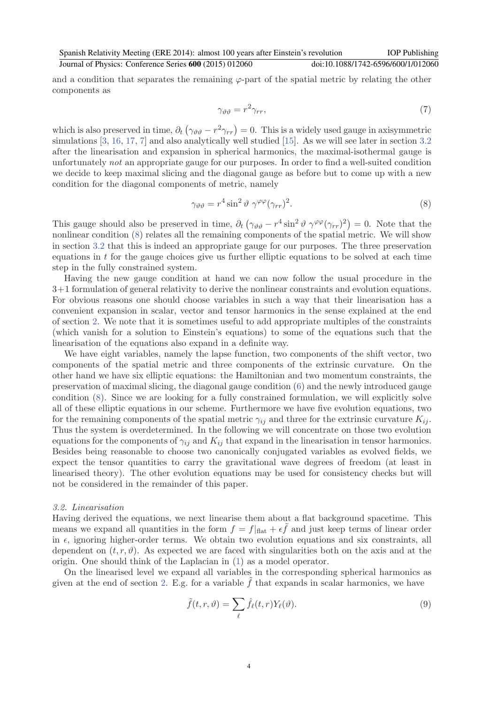Spanish Relativity Meeting (ERE 2014): almost 100 years after Einstein's revolution IOP Publishing Journal of Physics: Conference Series **600** (2015) 012060 doi:10.1088/1742-6596/600/1/012060

and a condition that separates the remaining  $\varphi$ -part of the spatial metric by relating the other components as

$$
\gamma_{\vartheta\vartheta} = r^2 \gamma_{rr},\tag{7}
$$

which is also preserved in time,  $\partial_t (\gamma_{\vartheta\vartheta} - r^2 \gamma_{rr}) = 0$ . This is a widely used gauge in axisymmetric simulations [3, 16, 17, 7] and also analytically well studied [15]. As we will see later in section 3.2 simulations [3, 16, 17, 7] and also analytically well studied [15]. As we will see later in section 3.2 after the linearisation and expansion in spherical harmonics, the maximal-isothermal gauge is unfortunately not an appropriate gauge for our purposes. In order to find a well-suited condition we decide to keep maximal slicing and the diagonal gauge as before but to come up with a new condition for the diagonal components of metric, namely

$$
\gamma_{\vartheta\vartheta} = r^4 \sin^2 \vartheta \, \gamma^{\varphi\varphi} (\gamma_{rr})^2. \tag{8}
$$

This gauge should also be preserved in time,  $\partial_t (\gamma_{\vartheta\vartheta} - r^4 \sin^2 \vartheta \gamma^{\varphi\varphi}(\gamma_{rr})^2) = 0$ . Note that the nonlinear condition (8) relates all the remaining components of the spatial metric. We will show nonlinear condition (8) relates all the remaining components of the spatial metric. We will show in section 3.2 that this is indeed an appropriate gauge for our purposes. The three preservation equations in  $t$  for the gauge choices give us further elliptic equations to be solved at each time step in the fully constrained system.

Having the new gauge condition at hand we can now follow the usual procedure in the 3+1 formulation of general relativity to derive the nonlinear constraints and evolution equations. For obvious reasons one should choose variables in such a way that their linearisation has a convenient expansion in scalar, vector and tensor harmonics in the sense explained at the end of section 2. We note that it is sometimes useful to add appropriate multiples of the constraints (which vanish for a solution to Einstein's equations) to some of the equations such that the linearisation of the equations also expand in a definite way.

We have eight variables, namely the lapse function, two components of the shift vector, two components of the spatial metric and three components of the extrinsic curvature. On the other hand we have six elliptic equations: the Hamiltonian and two momentum constraints, the preservation of maximal slicing, the diagonal gauge condition (6) and the newly introduced gauge condition (8). Since we are looking for a fully constrained formulation, we will explicitly solve all of these elliptic equations in our scheme. Furthermore we have five evolution equations, two for the remaining components of the spatial metric  $\gamma_{ij}$  and three for the extrinsic curvature  $K_{ij}$ . Thus the system is overdetermined. In the following we will concentrate on those two evolution equations for the components of  $\gamma_{ij}$  and  $K_{ij}$  that expand in the linearisation in tensor harmonics. Besides being reasonable to choose two canonically conjugated variables as evolved fields, we expect the tensor quantities to carry the gravitational wave degrees of freedom (at least in linearised theory). The other evolution equations may be used for consistency checks but will not be considered in the remainder of this paper.

Having derived the equations, we next linearise them about a flat background spacetime. This means we expand all quantities in the form  $f = f|_{\text{flat}} + \epsilon \tilde{f}$  and just keep terms of linear order<br>in  $\epsilon$  ignoring higher-order terms. We obtain two evolution equations and six constraints, all in  $\epsilon$ , ignoring higher-order terms. We obtain two evolution equations and six constraints, all<br>dependent on  $(t, r, \vartheta)$ . As expected we are faced with singularities both on the axis and at the dependent on  $(t, r, \vartheta)$ . As expected we are faced with singularities both on the axis and at the origin. One should think of the Laplacian in (1) as a model operator.

On the linearised level we expand all variables in the corresponding spherical harmonics as given at the end of section 2. E.g. for a variable  $f$  that expands in scalar harmonics, we have

$$
\tilde{f}(t,r,\vartheta) = \sum_{\ell} \hat{f}_{\ell}(t,r) Y_{\ell}(\vartheta).
$$
\n(9)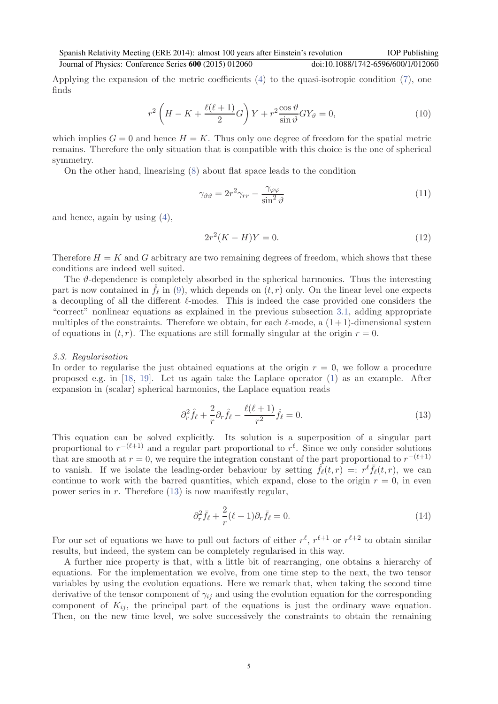Spanish Relativity Meeting (ERE 2014): almost 100 years after Einstein's revolution IOP Publishing

Journal of Physics: Conference Series **600** (2015) 012060 doi:10.1088/1742-6596/600/1/012060

Applying the expansion of the metric coefficients (4) to the quasi-isotropic condition (7), one finds

$$
r^{2}\left(H-K+\frac{\ell(\ell+1)}{2}G\right)Y+r^{2}\frac{\cos\vartheta}{\sin\vartheta}GY_{\vartheta}=0,
$$
\n(10)

which implies  $G = 0$  and hence  $H = K$ . Thus only one degree of freedom for the spatial metric remains. Therefore the only situation that is compatible with this choice is the one of spherical symmetry.

On the other hand, linearising (8) about flat space leads to the condition

$$
\gamma_{\vartheta\vartheta} = 2r^2 \gamma_{rr} - \frac{\gamma_{\varphi\varphi}}{\sin^2 \vartheta} \tag{11}
$$

and hence, again by using  $(4)$ ,

$$
2r^2(K - H)Y = 0.\t(12)
$$

Therefore  $H = K$  and G arbitrary are two remaining degrees of freedom, which shows that these conditions are indeed well suited.

The  $\vartheta$ -dependence is completely absorbed in the spherical harmonics. Thus the interesting part is now contained in  $\hat{f}_{\ell}$  in (9), which depends on  $(t, r)$  only. On the linear level one expects a decoupling of all the different  $\ell$ -modes. This is indeed the case provided one considers the "correct" nonlinear equations as explained in the previous subsection 3.1, adding appropriate multiples of the constraints. Therefore we obtain, for each  $\ell$ -mode, a  $(1+1)$ -dimensional system of equations in  $(t, r)$ . The equations are still formally singular at the origin  $r = 0$ .

In order to regularise the just obtained equations at the origin  $r = 0$ , we follow a procedure<br>proposed e.g. in [18, 19]. Let us again take the Laplace operator (1) as an example. After proposed e.g. in [18, 19]. Let us again take the Laplace operator (1) as an example. After expansion in (scalar) spherical harmonics, the Laplace equation reads

$$
\partial_r^2 \hat{f}_\ell + \frac{2}{r} \partial_r \hat{f}_\ell - \frac{\ell(\ell+1)}{r^2} \hat{f}_\ell = 0.
$$
 (13)

This equation can be solved explicitly. Its solution is a superposition of a singular part proportional to  $r^{-(\ell+1)}$  and a regular part proportional to  $r^{\ell}$ . Since we only consider solutions that are smooth at  $r = 0$ , we require the integration constant of the part proportional to  $r^{-(\ell+1)}$ that are smooth at  $r = 0$ , we require the integration constant of the part proportional to  $r^{-(\ell+1)}$ to vanish. If we isolate the leading-order behaviour by setting  $\hat{f}_{\ell}(t,r) =: r^{\ell} \bar{f}_{\ell}(t,r)$ , we can continue to work with the barred quantities, which expand, close to the origin  $r = 0$ , in even power series in  $r$ . Therefore  $(13)$  is now manifestly regular,

$$
\partial_r^2 \bar{f}_{\ell} + \frac{2}{r} (\ell + 1) \partial_r \bar{f}_{\ell} = 0. \tag{14}
$$

For our set of equations we have to pull out factors of either  $r^{\ell}$ ,  $r^{\ell+1}$  or  $r^{\ell+2}$  to obtain similar results, but indeed, the system can be completely regularised in this way.

A further nice property is that, with a little bit of rearranging, one obtains a hierarchy of equations. For the implementation we evolve, from one time step to the next, the two tensor variables by using the evolution equations. Here we remark that, when taking the second time derivative of the tensor component of  $\gamma_{ij}$  and using the evolution equation for the corresponding component of  $K_{ij}$ , the principal part of the equations is just the ordinary wave equation. Then, on the new time level, we solve successively the constraints to obtain the remaining